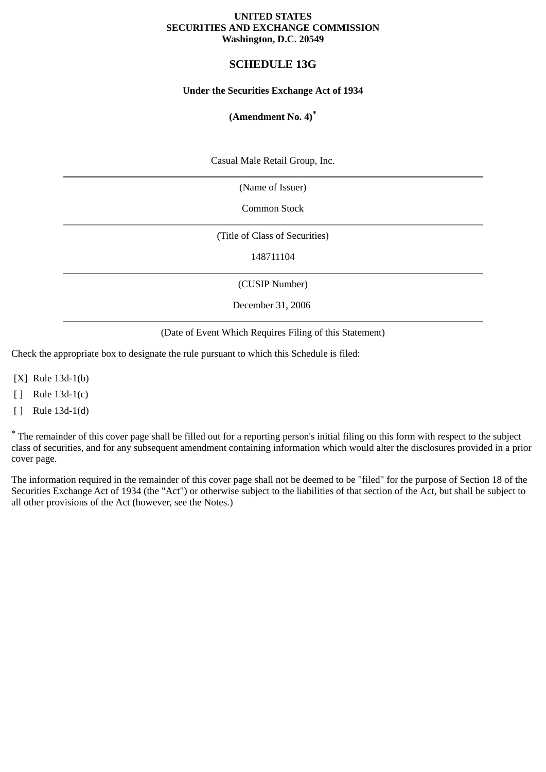#### **UNITED STATES SECURITIES AND EXCHANGE COMMISSION Washington, D.C. 20549**

# **SCHEDULE 13G**

### **Under the Securities Exchange Act of 1934**

# **(Amendment No. 4)\***

Casual Male Retail Group, Inc.

(Name of Issuer)

Common Stock

(Title of Class of Securities)

148711104

(CUSIP Number)

December 31, 2006

(Date of Event Which Requires Filing of this Statement)

Check the appropriate box to designate the rule pursuant to which this Schedule is filed:

[X] Rule 13d-1(b)

[ ] Rule 13d-1(c)

[ ] Rule 13d-1(d)

\* The remainder of this cover page shall be filled out for a reporting person's initial filing on this form with respect to the subject class of securities, and for any subsequent amendment containing information which would alter the disclosures provided in a prior cover page.

The information required in the remainder of this cover page shall not be deemed to be "filed" for the purpose of Section 18 of the Securities Exchange Act of 1934 (the "Act") or otherwise subject to the liabilities of that section of the Act, but shall be subject to all other provisions of the Act (however, see the Notes.)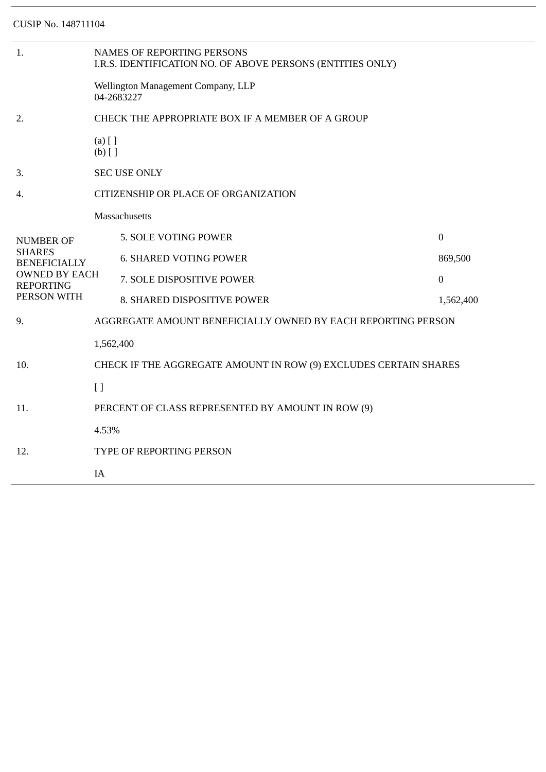| 1.                                                                                                                  | <b>NAMES OF REPORTING PERSONS</b><br>I.R.S. IDENTIFICATION NO. OF ABOVE PERSONS (ENTITIES ONLY) |                               |                  |  |  |
|---------------------------------------------------------------------------------------------------------------------|-------------------------------------------------------------------------------------------------|-------------------------------|------------------|--|--|
|                                                                                                                     | Wellington Management Company, LLP<br>04-2683227                                                |                               |                  |  |  |
| 2.                                                                                                                  | CHECK THE APPROPRIATE BOX IF A MEMBER OF A GROUP                                                |                               |                  |  |  |
|                                                                                                                     | $(a)$ [ ]<br>$(b)$ []                                                                           |                               |                  |  |  |
| 3.                                                                                                                  | <b>SEC USE ONLY</b>                                                                             |                               |                  |  |  |
| 4.                                                                                                                  | CITIZENSHIP OR PLACE OF ORGANIZATION                                                            |                               |                  |  |  |
|                                                                                                                     |                                                                                                 | Massachusetts                 |                  |  |  |
| <b>NUMBER OF</b><br><b>SHARES</b><br><b>BENEFICIALLY</b><br><b>OWNED BY EACH</b><br><b>REPORTING</b><br>PERSON WITH |                                                                                                 | 5. SOLE VOTING POWER          | $\boldsymbol{0}$ |  |  |
|                                                                                                                     |                                                                                                 | <b>6. SHARED VOTING POWER</b> | 869,500          |  |  |
|                                                                                                                     |                                                                                                 | 7. SOLE DISPOSITIVE POWER     | $\boldsymbol{0}$ |  |  |
|                                                                                                                     |                                                                                                 | 8. SHARED DISPOSITIVE POWER   | 1,562,400        |  |  |
| 9.                                                                                                                  | AGGREGATE AMOUNT BENEFICIALLY OWNED BY EACH REPORTING PERSON                                    |                               |                  |  |  |
|                                                                                                                     | 1,562,400                                                                                       |                               |                  |  |  |
| 10.                                                                                                                 | CHECK IF THE AGGREGATE AMOUNT IN ROW (9) EXCLUDES CERTAIN SHARES                                |                               |                  |  |  |
|                                                                                                                     | $\lceil$                                                                                        |                               |                  |  |  |
| 11.                                                                                                                 | PERCENT OF CLASS REPRESENTED BY AMOUNT IN ROW (9)                                               |                               |                  |  |  |
|                                                                                                                     | 4.53%                                                                                           |                               |                  |  |  |
| 12.                                                                                                                 | TYPE OF REPORTING PERSON                                                                        |                               |                  |  |  |
|                                                                                                                     | IA                                                                                              |                               |                  |  |  |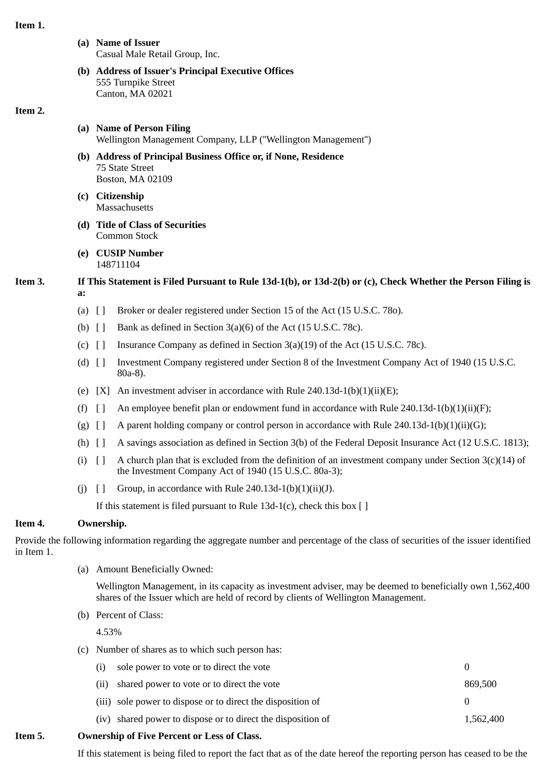#### **Item 1.**

- **(a) Name of Issuer** Casual Male Retail Group, Inc.
- **(b) Address of Issuer's Principal Executive Offices** 555 Turnpike Street Canton, MA 02021

#### **Item 2.**

- **(a) Name of Person Filing** Wellington Management Company, LLP (''Wellington Management'')
- **(b) Address of Principal Business Office or, if None, Residence** 75 State Street Boston, MA 02109
- **(c) Citizenship Massachusetts**
- **(d) Title of Class of Securities** Common Stock
- **(e) CUSIP Number** 148711104

# **Item 3. If This Statement is Filed Pursuant to Rule 13d-1(b), or 13d-2(b) or (c), Check Whether the Person Filing is a:**

- (a) [ ] Broker or dealer registered under Section 15 of the Act (15 U.S.C. 78o).
- (b)  $\begin{bmatrix} \end{bmatrix}$  Bank as defined in Section 3(a)(6) of the Act (15 U.S.C. 78c).
- (c)  $\left[ \ \right]$  Insurance Company as defined in Section 3(a)(19) of the Act (15 U.S.C. 78c).
- (d) [ ] Investment Company registered under Section 8 of the Investment Company Act of 1940 (15 U.S.C. 80a-8).
- (e)  $[X]$  An investment adviser in accordance with Rule 240.13d-1(b)(1)(ii)(E);
- (f)  $\lceil$  An employee benefit plan or endowment fund in accordance with Rule 240.13d-1(b)(1)(ii)(F);
- (g)  $[]$  A parent holding company or control person in accordance with Rule 240.13d-1(b)(1)(ii)(G);
- (h) [ ] A savings association as defined in Section 3(b) of the Federal Deposit Insurance Act (12 U.S.C. 1813);
- (i)  $\lceil \rceil$  A church plan that is excluded from the definition of an investment company under Section 3(c)(14) of the Investment Company Act of 1940 (15 U.S.C. 80a-3);
- (i)  $\lceil \cdot \rceil$  Group, in accordance with Rule 240.13d-1(b)(1)(ii)(J).

If this statement is filed pursuant to Rule  $13d-1(c)$ , check this box [ ]

# **Item 4. Ownership.**

Provide the following information regarding the aggregate number and percentage of the class of securities of the issuer identified in Item 1.

(a) Amount Beneficially Owned:

Wellington Management, in its capacity as investment adviser, may be deemed to beneficially own 1,562,400 shares of the Issuer which are held of record by clients of Wellington Management.

(b) Percent of Class:

4.53%

(c) Number of shares as to which such person has:

| exchip of Five Dercent or Less of Class |                                                              |              |  |  |  |
|-----------------------------------------|--------------------------------------------------------------|--------------|--|--|--|
|                                         | (iv) shared power to dispose or to direct the disposition of | 1.562.400    |  |  |  |
|                                         | (iii) sole power to dispose or to direct the disposition of  | $\mathbf{0}$ |  |  |  |
|                                         | (ii) shared power to vote or to direct the vote              | 869,500      |  |  |  |
| (i)                                     | sole power to vote or to direct the vote                     | 0            |  |  |  |

## **Item 5. Ownership of Five Percent or Less of Class.**

If this statement is being filed to report the fact that as of the date hereof the reporting person has ceased to be the